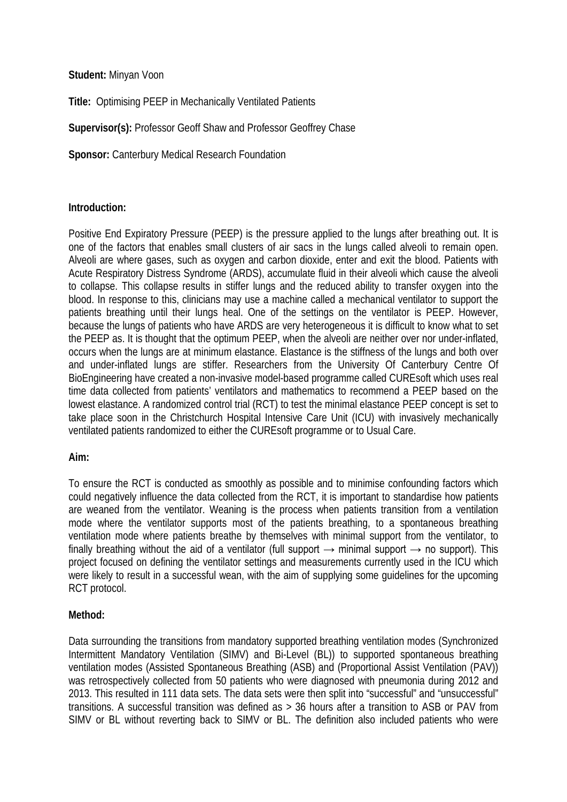# **Student:** Minyan Voon

**Title:** Optimising PEEP in Mechanically Ventilated Patients

**Supervisor(s):** Professor Geoff Shaw and Professor Geoffrey Chase

**Sponsor:** Canterbury Medical Research Foundation

#### **Introduction:**

Positive End Expiratory Pressure (PEEP) is the pressure applied to the lungs after breathing out. It is one of the factors that enables small clusters of air sacs in the lungs called alveoli to remain open. Alveoli are where gases, such as oxygen and carbon dioxide, enter and exit the blood. Patients with Acute Respiratory Distress Syndrome (ARDS), accumulate fluid in their alveoli which cause the alveoli to collapse. This collapse results in stiffer lungs and the reduced ability to transfer oxygen into the blood. In response to this, clinicians may use a machine called a mechanical ventilator to support the patients breathing until their lungs heal. One of the settings on the ventilator is PEEP. However, because the lungs of patients who have ARDS are very heterogeneous it is difficult to know what to set the PEEP as. It is thought that the optimum PEEP, when the alveoli are neither over nor under-inflated, occurs when the lungs are at minimum elastance. Elastance is the stiffness of the lungs and both over and under-inflated lungs are stiffer. Researchers from the University Of Canterbury Centre Of BioEngineering have created a non-invasive model-based programme called CUREsoft which uses real time data collected from patients' ventilators and mathematics to recommend a PEEP based on the lowest elastance. A randomized control trial (RCT) to test the minimal elastance PEEP concept is set to take place soon in the Christchurch Hospital Intensive Care Unit (ICU) with invasively mechanically ventilated patients randomized to either the CUREsoft programme or to Usual Care.

#### **Aim:**

To ensure the RCT is conducted as smoothly as possible and to minimise confounding factors which could negatively influence the data collected from the RCT, it is important to standardise how patients are weaned from the ventilator. Weaning is the process when patients transition from a ventilation mode where the ventilator supports most of the patients breathing, to a spontaneous breathing ventilation mode where patients breathe by themselves with minimal support from the ventilator, to finally breathing without the aid of a ventilator (full support  $\rightarrow$  minimal support  $\rightarrow$  no support). This project focused on defining the ventilator settings and measurements currently used in the ICU which were likely to result in a successful wean, with the aim of supplying some guidelines for the upcoming RCT protocol.

# **Method:**

Data surrounding the transitions from mandatory supported breathing ventilation modes (Synchronized Intermittent Mandatory Ventilation (SIMV) and Bi-Level (BL)) to supported spontaneous breathing ventilation modes (Assisted Spontaneous Breathing (ASB) and (Proportional Assist Ventilation (PAV)) was retrospectively collected from 50 patients who were diagnosed with pneumonia during 2012 and 2013. This resulted in 111 data sets. The data sets were then split into "successful" and "unsuccessful" transitions. A successful transition was defined as > 36 hours after a transition to ASB or PAV from SIMV or BL without reverting back to SIMV or BL. The definition also included patients who were